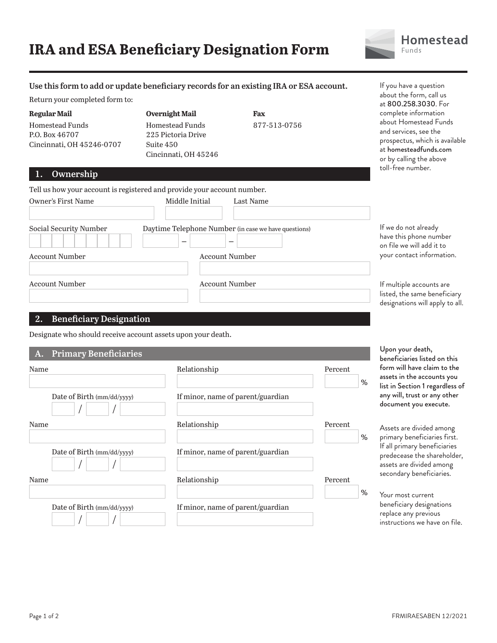## **IRA and ESA Beneficiary Designation Form**



#### **Use this form to add or update beneficiary records for an existing IRA or ESA account.**

Return your completed form to:

**Regular Mail** Homestead Funds P.O. Box 46707 Cincinnati, OH 45246-0707 **Overnight Mail** Homestead Funds 225 Pictoria Drive Suite 450 Cincinnati, OH 45246 **Fax** 877-513-0756 If you have a question about the form, call us at 800.258.3030. For complete information about Homestead Funds and services, see the prospectus, which is available at homesteadfunds.com or by calling the above toll-free number.

### **1. Ownership**

| Tell us how your account is registered and provide your account number. |                                                      |                                                                             |                                                                                             |
|-------------------------------------------------------------------------|------------------------------------------------------|-----------------------------------------------------------------------------|---------------------------------------------------------------------------------------------|
| Owner's First Name                                                      | Middle Initial                                       | Last Name                                                                   |                                                                                             |
| Social Security Number                                                  | Daytime Telephone Number (in case we have questions) | If we do not already<br>have this phone number<br>on file we will add it to |                                                                                             |
| Account Number                                                          |                                                      | Account Number                                                              | your contact information.                                                                   |
| <b>Account Number</b>                                                   |                                                      | <b>Account Number</b>                                                       | If multiple accounts are<br>listed, the same beneficiary<br>designations will apply to all. |

#### **2. Beneficiary Designation**

Designate who should receive account assets upon your death.

| A. Primary Beneficiaries          |                                   |                 |
|-----------------------------------|-----------------------------------|-----------------|
| Name                              | Relationship                      | Percent         |
| Date of Birth $\frac{mm}{dd/yyy}$ | If minor, name of parent/guardian | %               |
| Name                              | Relationship                      | Percent<br>$\%$ |
| Date of Birth $\frac{mm}{dd/yyy}$ | If minor, name of parent/guardian |                 |
| Name                              | Relationship                      | Percent<br>%    |
| Date of Birth (mm/dd/yyyy)        | If minor, name of parent/guardian |                 |

Upon your death, beneficiaries listed on this form will have claim to the assets in the accounts you list in Section 1 regardless of any will, trust or any other document you execute.

Assets are divided among primary beneficiaries first. If all primary beneficiaries predecease the shareholder, assets are divided among secondary beneficiaries.

Your most current beneficiary designations replace any previous instructions we have on file.